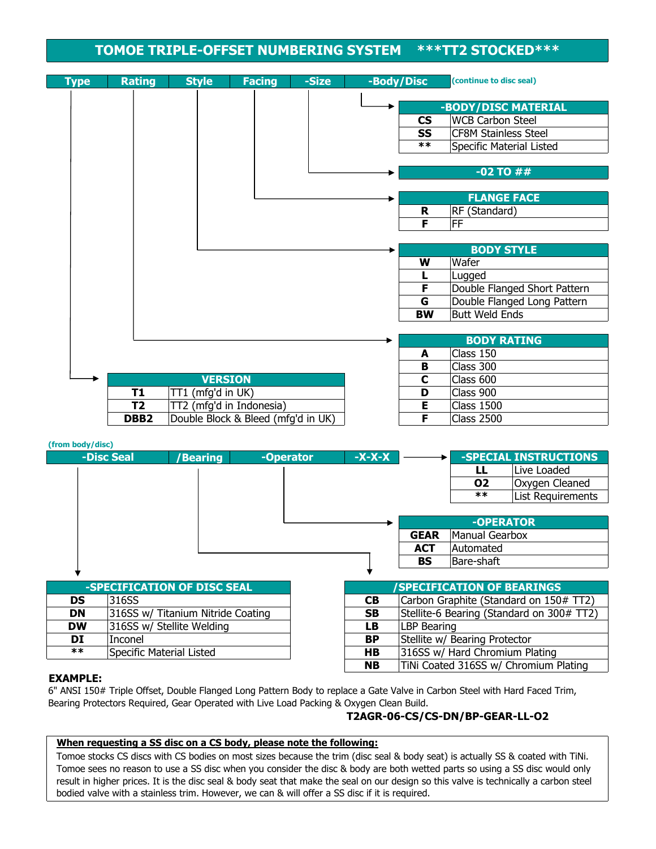### **TOMOE TRIPLE-OFFSET NUMBERING SYSTEM \*\*\*TT2 STOCKED\*\*\***

| <b>Type</b> | <b>Rating</b>    | <b>Style</b>                        | <b>Facing</b>            | -Size | -Body/Disc |           | (continue to disc seal)      |
|-------------|------------------|-------------------------------------|--------------------------|-------|------------|-----------|------------------------------|
|             |                  |                                     |                          |       |            |           | -BODY/DISC MATERIAL          |
|             |                  |                                     |                          |       |            | <b>CS</b> | <b>WCB Carbon Steel</b>      |
|             |                  |                                     |                          |       |            | <b>SS</b> | <b>CF8M Stainless Steel</b>  |
|             |                  |                                     |                          |       |            | $***$     | Specific Material Listed     |
|             |                  |                                     |                          |       |            |           |                              |
|             |                  |                                     |                          |       |            |           | $-02$ TO $\#$ #              |
|             |                  |                                     |                          |       |            |           |                              |
|             |                  |                                     |                          |       |            |           | <b>FLANGE FACE</b>           |
|             |                  |                                     |                          |       |            | R         | RF (Standard)                |
|             |                  |                                     |                          |       |            | F         | <b>FF</b>                    |
|             |                  |                                     |                          |       |            |           |                              |
|             |                  |                                     |                          |       |            |           | <b>BODY STYLE</b>            |
|             |                  |                                     |                          |       |            | W         | Wafer                        |
|             |                  |                                     |                          |       |            |           | Lugged                       |
|             |                  |                                     |                          |       |            | F         | Double Flanged Short Pattern |
|             |                  |                                     |                          |       |            | G         | Double Flanged Long Pattern  |
|             |                  |                                     |                          |       |            | <b>BW</b> | <b>Butt Weld Ends</b>        |
|             |                  |                                     |                          |       |            |           |                              |
|             |                  |                                     |                          |       |            |           | <b>BODY RATING</b>           |
|             |                  |                                     |                          |       |            | A         | Class 150                    |
|             |                  |                                     |                          |       |            | B<br>C    | Class 300                    |
|             | T1               | <b>VERSION</b><br>TT1 (mfg'd in UK) |                          |       |            | D         | Class 600<br>Class 900       |
|             | T <sub>2</sub>   |                                     | TT2 (mfg'd in Indonesia) |       |            | E         | <b>Class 1500</b>            |
|             | DBB <sub>2</sub> | Double Block & Bleed (mfg'd in UK)  |                          |       |            | F         | <b>Class 2500</b>            |

| (from body/disc) |                          |                                   |           |               |                    |                                  |                                           |
|------------------|--------------------------|-----------------------------------|-----------|---------------|--------------------|----------------------------------|-------------------------------------------|
|                  | -Disc Seal               | <b>Bearing</b>                    | -Operator | <b>-X-X-X</b> |                    |                                  | -SPECIAL INSTRUCTIONS                     |
|                  |                          |                                   |           |               |                    | LL                               | Live Loaded                               |
|                  |                          |                                   |           |               |                    | 02                               | Oxygen Cleaned                            |
|                  |                          |                                   |           |               |                    | $***$                            | List Requirements                         |
|                  |                          |                                   |           |               |                    |                                  |                                           |
|                  |                          |                                   |           |               |                    | -OPERATOR                        |                                           |
|                  |                          |                                   |           |               | <b>GEAR</b>        | Manual Gearbox                   |                                           |
|                  |                          |                                   |           |               | <b>ACT</b>         | Automated                        |                                           |
|                  |                          |                                   |           |               | <b>BS</b>          | Bare-shaft                       |                                           |
|                  |                          |                                   |           |               |                    |                                  |                                           |
|                  |                          | -SPECIFICATION OF DISC SEAL       |           |               |                    | <b>SPECIFICATION OF BEARINGS</b> |                                           |
| <b>DS</b>        | 316SS                    |                                   |           | <b>CB</b>     |                    |                                  | Carbon Graphite (Standard on 150# TT2)    |
| <b>DN</b>        |                          | 316SS w/ Titanium Nitride Coating |           | <b>SB</b>     |                    |                                  | Stellite-6 Bearing (Standard on 300# TT2) |
| <b>DW</b>        |                          | 316SS w/ Stellite Welding         |           | LB            | <b>LBP Bearing</b> |                                  |                                           |
| DI               | Inconel                  |                                   |           | <b>BP</b>     |                    | Stellite w/ Bearing Protector    |                                           |
| $***$            | Specific Material Listed |                                   |           | HB            |                    | 316SS w/ Hard Chromium Plating   |                                           |
|                  |                          |                                   |           | <b>NB</b>     |                    |                                  | TiNi Coated 316SS w/ Chromium Plating     |

#### **EXAMPLE:**

6" ANSI 150# Triple Offset, Double Flanged Long Pattern Body to replace a Gate Valve in Carbon Steel with Hard Faced Trim, Bearing Protectors Required, Gear Operated with Live Load Packing & Oxygen Clean Build.

#### **T2AGR-06-CS/CS-DN/BP-GEAR-LL-O2**

#### **When requesting a SS disc on a CS body, please note the following:**

Tomoe stocks CS discs with CS bodies on most sizes because the trim (disc seal & body seat) is actually SS & coated with TiNi. Tomoe sees no reason to use a SS disc when you consider the disc & body are both wetted parts so using a SS disc would only result in higher prices. It is the disc seal & body seat that make the seal on our design so this valve is technically a carbon steel bodied valve with a stainless trim. However, we can & will offer a SS disc if it is required.